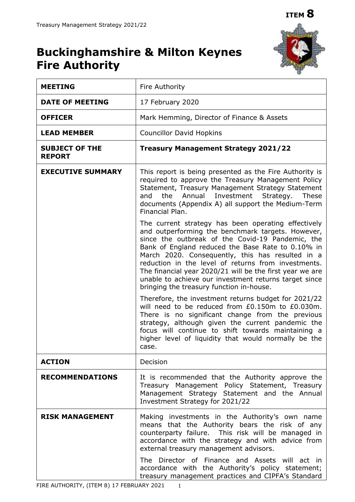

# **Buckinghamshire & Milton Keynes Fire Authority**

| <b>MEETING</b>                         | Fire Authority                                                                                                                                                                                                                                                                                                                                                                                                                                                                                |  |  |
|----------------------------------------|-----------------------------------------------------------------------------------------------------------------------------------------------------------------------------------------------------------------------------------------------------------------------------------------------------------------------------------------------------------------------------------------------------------------------------------------------------------------------------------------------|--|--|
| <b>DATE OF MEETING</b>                 | 17 February 2020                                                                                                                                                                                                                                                                                                                                                                                                                                                                              |  |  |
| <b>OFFICER</b>                         | Mark Hemming, Director of Finance & Assets                                                                                                                                                                                                                                                                                                                                                                                                                                                    |  |  |
| <b>LEAD MEMBER</b>                     | <b>Councillor David Hopkins</b>                                                                                                                                                                                                                                                                                                                                                                                                                                                               |  |  |
| <b>SUBJECT OF THE</b><br><b>REPORT</b> | <b>Treasury Management Strategy 2021/22</b>                                                                                                                                                                                                                                                                                                                                                                                                                                                   |  |  |
| <b>EXECUTIVE SUMMARY</b>               | This report is being presented as the Fire Authority is<br>required to approve the Treasury Management Policy<br>Statement, Treasury Management Strategy Statement<br>and the Annual Investment Strategy.<br>These<br>documents (Appendix A) all support the Medium-Term<br>Financial Plan.                                                                                                                                                                                                   |  |  |
|                                        | The current strategy has been operating effectively<br>and outperforming the benchmark targets. However,<br>since the outbreak of the Covid-19 Pandemic, the<br>Bank of England reduced the Base Rate to 0.10% in<br>March 2020. Consequently, this has resulted in a<br>reduction in the level of returns from investments.<br>The financial year 2020/21 will be the first year we are<br>unable to achieve our investment returns target since<br>bringing the treasury function in-house. |  |  |
|                                        | Therefore, the investment returns budget for 2021/22<br>will need to be reduced from £0.150m to £0.030m.<br>There is no significant change from the previous<br>strategy, although given the current pandemic the<br>focus will continue to shift towards maintaining a<br>higher level of liquidity that would normally be the<br>case.                                                                                                                                                      |  |  |
| <b>ACTION</b>                          | Decision                                                                                                                                                                                                                                                                                                                                                                                                                                                                                      |  |  |
| <b>RECOMMENDATIONS</b>                 | It is recommended that the Authority approve the<br>Treasury Management Policy Statement, Treasury<br>Management Strategy Statement and the Annual<br>Investment Strategy for 2021/22                                                                                                                                                                                                                                                                                                         |  |  |
| <b>RISK MANAGEMENT</b>                 | Making investments in the Authority's own name<br>means that the Authority bears the risk of any<br>counterparty failure. This risk will be managed in<br>accordance with the strategy and with advice from<br>external treasury management advisors.<br>The Director of Finance and Assets will act in                                                                                                                                                                                       |  |  |
|                                        | accordance with the Authority's policy statement;<br>treasury management practices and CIPFA's Standard                                                                                                                                                                                                                                                                                                                                                                                       |  |  |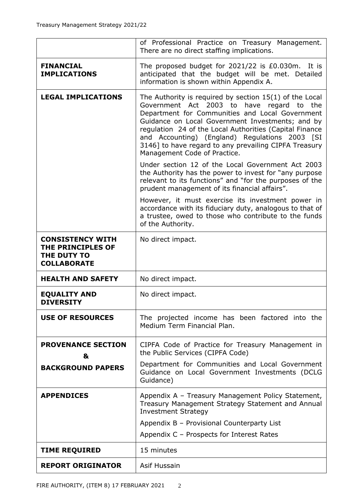|                                                                                   | of Professional Practice on Treasury Management.<br>There are no direct staffing implications.                                                                                                                                                                                                                                                                                                                         |  |  |
|-----------------------------------------------------------------------------------|------------------------------------------------------------------------------------------------------------------------------------------------------------------------------------------------------------------------------------------------------------------------------------------------------------------------------------------------------------------------------------------------------------------------|--|--|
| <b>FINANCIAL</b><br><b>IMPLICATIONS</b>                                           | The proposed budget for 2021/22 is £0.030m. It is<br>anticipated that the budget will be met. Detailed<br>information is shown within Appendix A.                                                                                                                                                                                                                                                                      |  |  |
| <b>LEGAL IMPLICATIONS</b>                                                         | The Authority is required by section $15(1)$ of the Local<br>Government Act 2003 to<br>have regard to the<br>Department for Communities and Local Government<br>Guidance on Local Government Investments; and by<br>regulation 24 of the Local Authorities (Capital Finance<br>and Accounting) (England) Regulations 2003 [SI<br>3146] to have regard to any prevailing CIPFA Treasury<br>Management Code of Practice. |  |  |
|                                                                                   | Under section 12 of the Local Government Act 2003<br>the Authority has the power to invest for "any purpose"<br>relevant to its functions" and "for the purposes of the<br>prudent management of its financial affairs".                                                                                                                                                                                               |  |  |
|                                                                                   | However, it must exercise its investment power in<br>accordance with its fiduciary duty, analogous to that of<br>a trustee, owed to those who contribute to the funds<br>of the Authority.                                                                                                                                                                                                                             |  |  |
| <b>CONSISTENCY WITH</b><br>THE PRINCIPLES OF<br>THE DUTY TO<br><b>COLLABORATE</b> | No direct impact.                                                                                                                                                                                                                                                                                                                                                                                                      |  |  |
| <b>HEALTH AND SAFETY</b>                                                          | No direct impact.                                                                                                                                                                                                                                                                                                                                                                                                      |  |  |
| <b>EQUALITY AND</b><br><b>DIVERSITY</b>                                           | No direct impact.                                                                                                                                                                                                                                                                                                                                                                                                      |  |  |
| <b>USE OF RESOURCES</b>                                                           | The projected income has been factored into the<br>Medium Term Financial Plan.                                                                                                                                                                                                                                                                                                                                         |  |  |
| <b>PROVENANCE SECTION</b><br>&                                                    | CIPFA Code of Practice for Treasury Management in<br>the Public Services (CIPFA Code)                                                                                                                                                                                                                                                                                                                                  |  |  |
| <b>BACKGROUND PAPERS</b>                                                          | Department for Communities and Local Government<br>Guidance on Local Government Investments (DCLG<br>Guidance)                                                                                                                                                                                                                                                                                                         |  |  |
| <b>APPENDICES</b>                                                                 | Appendix A - Treasury Management Policy Statement,<br>Treasury Management Strategy Statement and Annual<br><b>Investment Strategy</b>                                                                                                                                                                                                                                                                                  |  |  |
|                                                                                   | Appendix B - Provisional Counterparty List                                                                                                                                                                                                                                                                                                                                                                             |  |  |
|                                                                                   | Appendix C - Prospects for Interest Rates                                                                                                                                                                                                                                                                                                                                                                              |  |  |
| <b>TIME REQUIRED</b>                                                              | 15 minutes                                                                                                                                                                                                                                                                                                                                                                                                             |  |  |
| <b>REPORT ORIGINATOR</b>                                                          | Asif Hussain                                                                                                                                                                                                                                                                                                                                                                                                           |  |  |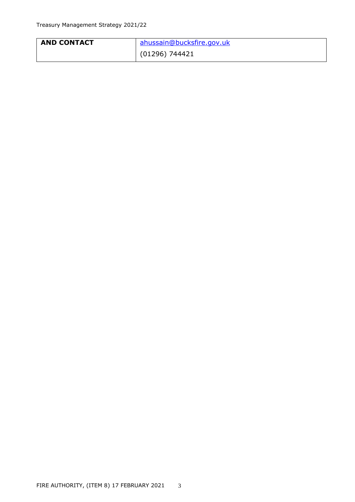| <b>AND CONTACT</b> | ahussain@bucksfire.gov.uk |
|--------------------|---------------------------|
|                    | (01296) 744421            |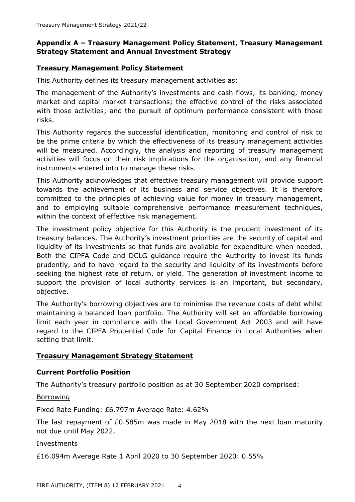## **Appendix A – Treasury Management Policy Statement, Treasury Management Strategy Statement and Annual Investment Strategy**

## **Treasury Management Policy Statement**

This Authority defines its treasury management activities as:

The management of the Authority's investments and cash flows, its banking, money market and capital market transactions; the effective control of the risks associated with those activities; and the pursuit of optimum performance consistent with those risks.

This Authority regards the successful identification, monitoring and control of risk to be the prime criteria by which the effectiveness of its treasury management activities will be measured. Accordingly, the analysis and reporting of treasury management activities will focus on their risk implications for the organisation, and any financial instruments entered into to manage these risks.

This Authority acknowledges that effective treasury management will provide support towards the achievement of its business and service objectives. It is therefore committed to the principles of achieving value for money in treasury management, and to employing suitable comprehensive performance measurement techniques, within the context of effective risk management.

The investment policy objective for this Authority is the prudent investment of its treasury balances. The Authority's investment priorities are the security of capital and liquidity of its investments so that funds are available for expenditure when needed. Both the CIPFA Code and DCLG guidance require the Authority to invest its funds prudently, and to have regard to the security and liquidity of its investments before seeking the highest rate of return, or yield. The generation of investment income to support the provision of local authority services is an important, but secondary, objective.

The Authority's borrowing objectives are to minimise the revenue costs of debt whilst maintaining a balanced loan portfolio. The Authority will set an affordable borrowing limit each year in compliance with the Local Government Act 2003 and will have regard to the CIPFA Prudential Code for Capital Finance in Local Authorities when setting that limit.

## **Treasury Management Strategy Statement**

## **Current Portfolio Position**

The Authority's treasury portfolio position as at 30 September 2020 comprised:

#### Borrowing

Fixed Rate Funding: £6.797m Average Rate: 4.62%

The last repayment of £0.585m was made in May 2018 with the next loan maturity not due until May 2022.

#### Investments

£16.094m Average Rate 1 April 2020 to 30 September 2020: 0.55%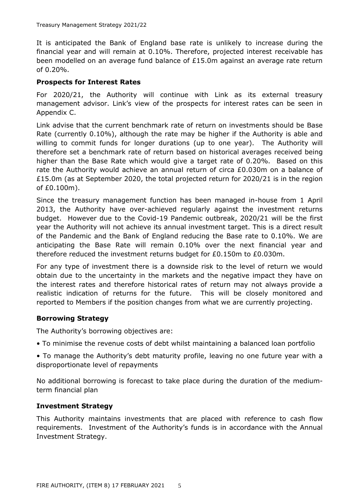It is anticipated the Bank of England base rate is unlikely to increase during the financial year and will remain at 0.10%. Therefore, projected interest receivable has been modelled on an average fund balance of £15.0m against an average rate return of 0.20%.

#### **Prospects for Interest Rates**

For 2020/21, the Authority will continue with Link as its external treasury management advisor. Link's view of the prospects for interest rates can be seen in Appendix C.

Link advise that the current benchmark rate of return on investments should be Base Rate (currently 0.10%), although the rate may be higher if the Authority is able and willing to commit funds for longer durations (up to one year). The Authority will therefore set a benchmark rate of return based on historical averages received being higher than the Base Rate which would give a target rate of 0.20%. Based on this rate the Authority would achieve an annual return of circa £0.030m on a balance of £15.0m (as at September 2020, the total projected return for 2020/21 is in the region of £0.100m).

Since the treasury management function has been managed in-house from 1 April 2013, the Authority have over-achieved regularly against the investment returns budget. However due to the Covid-19 Pandemic outbreak, 2020/21 will be the first year the Authority will not achieve its annual investment target. This is a direct result of the Pandemic and the Bank of England reducing the Base rate to 0.10%. We are anticipating the Base Rate will remain 0.10% over the next financial year and therefore reduced the investment returns budget for £0.150m to £0.030m.

For any type of investment there is a downside risk to the level of return we would obtain due to the uncertainty in the markets and the negative impact they have on the interest rates and therefore historical rates of return may not always provide a realistic indication of returns for the future. This will be closely monitored and reported to Members if the position changes from what we are currently projecting.

## **Borrowing Strategy**

The Authority's borrowing objectives are:

• To minimise the revenue costs of debt whilst maintaining a balanced loan portfolio

• To manage the Authority's debt maturity profile, leaving no one future year with a disproportionate level of repayments

No additional borrowing is forecast to take place during the duration of the mediumterm financial plan

#### **Investment Strategy**

This Authority maintains investments that are placed with reference to cash flow requirements. Investment of the Authority's funds is in accordance with the Annual Investment Strategy.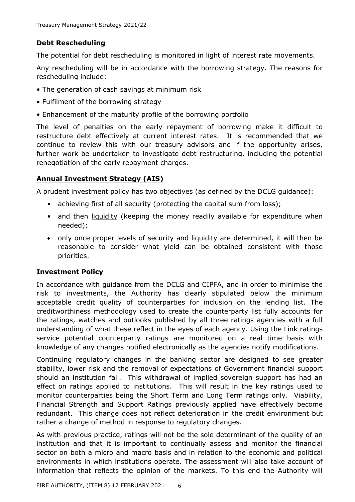# **Debt Rescheduling**

The potential for debt rescheduling is monitored in light of interest rate movements.

Any rescheduling will be in accordance with the borrowing strategy. The reasons for rescheduling include:

- The generation of cash savings at minimum risk
- Fulfilment of the borrowing strategy
- Enhancement of the maturity profile of the borrowing portfolio

The level of penalties on the early repayment of borrowing make it difficult to restructure debt effectively at current interest rates. It is recommended that we continue to review this with our treasury advisors and if the opportunity arises, further work be undertaken to investigate debt restructuring, including the potential renegotiation of the early repayment charges.

# **Annual Investment Strategy (AIS)**

A prudent investment policy has two objectives (as defined by the DCLG guidance):

- achieving first of all security (protecting the capital sum from loss);
- and then liquidity (keeping the money readily available for expenditure when needed);
- only once proper levels of security and liquidity are determined, it will then be reasonable to consider what yield can be obtained consistent with those priorities.

# **Investment Policy**

In accordance with guidance from the DCLG and CIPFA, and in order to minimise the risk to investments, the Authority has clearly stipulated below the minimum acceptable credit quality of counterparties for inclusion on the lending list. The creditworthiness methodology used to create the counterparty list fully accounts for the ratings, watches and outlooks published by all three ratings agencies with a full understanding of what these reflect in the eyes of each agency. Using the Link ratings service potential counterparty ratings are monitored on a real time basis with knowledge of any changes notified electronically as the agencies notify modifications.

Continuing regulatory changes in the banking sector are designed to see greater stability, lower risk and the removal of expectations of Government financial support should an institution fail. This withdrawal of implied sovereign support has had an effect on ratings applied to institutions. This will result in the key ratings used to monitor counterparties being the Short Term and Long Term ratings only. Viability, Financial Strength and Support Ratings previously applied have effectively become redundant. This change does not reflect deterioration in the credit environment but rather a change of method in response to regulatory changes.

As with previous practice, ratings will not be the sole determinant of the quality of an institution and that it is important to continually assess and monitor the financial sector on both a micro and macro basis and in relation to the economic and political environments in which institutions operate. The assessment will also take account of information that reflects the opinion of the markets. To this end the Authority will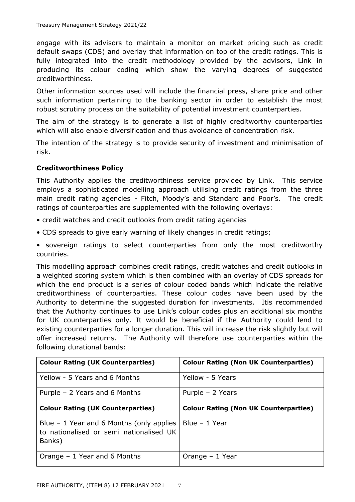engage with its advisors to maintain a monitor on market pricing such as credit default swaps (CDS) and overlay that information on top of the credit ratings. This is fully integrated into the credit methodology provided by the advisors, Link in producing its colour coding which show the varying degrees of suggested creditworthiness.

Other information sources used will include the financial press, share price and other such information pertaining to the banking sector in order to establish the most robust scrutiny process on the suitability of potential investment counterparties.

The aim of the strategy is to generate a list of highly creditworthy counterparties which will also enable diversification and thus avoidance of concentration risk.

The intention of the strategy is to provide security of investment and minimisation of risk.

## **Creditworthiness Policy**

This Authority applies the creditworthiness service provided by Link. This service employs a sophisticated modelling approach utilising credit ratings from the three main credit rating agencies - Fitch, Moody's and Standard and Poor's. The credit ratings of counterparties are supplemented with the following overlays:

- credit watches and credit outlooks from credit rating agencies
- CDS spreads to give early warning of likely changes in credit ratings;

• sovereign ratings to select counterparties from only the most creditworthy countries.

This modelling approach combines credit ratings, credit watches and credit outlooks in a weighted scoring system which is then combined with an overlay of CDS spreads for which the end product is a series of colour coded bands which indicate the relative creditworthiness of counterparties. These colour codes have been used by the Authority to determine the suggested duration for investments. Itis recommended that the Authority continues to use Link's colour codes plus an additional six months for UK counterparties only. It would be beneficial if the Authority could lend to existing counterparties for a longer duration. This will increase the risk slightly but will offer increased returns. The Authority will therefore use counterparties within the following durational bands:

| <b>Colour Rating (UK Counterparties)</b>                                                       | <b>Colour Rating (Non UK Counterparties)</b> |
|------------------------------------------------------------------------------------------------|----------------------------------------------|
| Yellow - 5 Years and 6 Months                                                                  | Yellow - 5 Years                             |
| Purple $-2$ Years and 6 Months                                                                 | Purple $-2$ Years                            |
| <b>Colour Rating (UK Counterparties)</b>                                                       | <b>Colour Rating (Non UK Counterparties)</b> |
| Blue $-1$ Year and 6 Months (only applies<br>to nationalised or semi nationalised UK<br>Banks) | Blue - 1 Year                                |
| Orange $-1$ Year and 6 Months                                                                  | Orange $-1$ Year                             |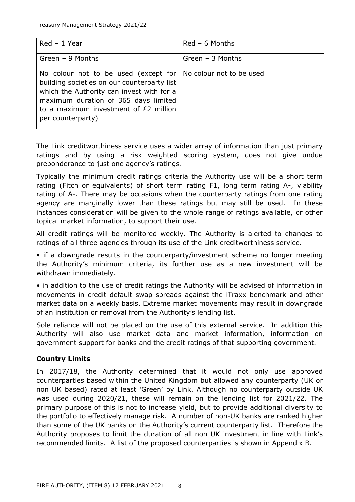| Red - 1 Year                                                                                                                                                                                                                                                            | $Red - 6$ Months   |
|-------------------------------------------------------------------------------------------------------------------------------------------------------------------------------------------------------------------------------------------------------------------------|--------------------|
| Green $-9$ Months                                                                                                                                                                                                                                                       | Green $-$ 3 Months |
| No colour not to be used (except for $\vert$ No colour not to be used<br>building societies on our counterparty list<br>which the Authority can invest with for a<br>maximum duration of 365 days limited<br>to a maximum investment of £2 million<br>per counterparty) |                    |

The Link creditworthiness service uses a wider array of information than just primary ratings and by using a risk weighted scoring system, does not give undue preponderance to just one agency's ratings.

Typically the minimum credit ratings criteria the Authority use will be a short term rating (Fitch or equivalents) of short term rating F1, long term rating A-, viability rating of A-. There may be occasions when the counterparty ratings from one rating agency are marginally lower than these ratings but may still be used. In these instances consideration will be given to the whole range of ratings available, or other topical market information, to support their use.

All credit ratings will be monitored weekly. The Authority is alerted to changes to ratings of all three agencies through its use of the Link creditworthiness service.

• if a downgrade results in the counterparty/investment scheme no longer meeting the Authority's minimum criteria, its further use as a new investment will be withdrawn immediately.

• in addition to the use of credit ratings the Authority will be advised of information in movements in credit default swap spreads against the iTraxx benchmark and other market data on a weekly basis. Extreme market movements may result in downgrade of an institution or removal from the Authority's lending list.

Sole reliance will not be placed on the use of this external service. In addition this Authority will also use market data and market information, information on government support for banks and the credit ratings of that supporting government.

# **Country Limits**

In 2017/18, the Authority determined that it would not only use approved counterparties based within the United Kingdom but allowed any counterparty (UK or non UK based) rated at least 'Green' by Link. Although no counterparty outside UK was used during 2020/21, these will remain on the lending list for 2021/22. The primary purpose of this is not to increase yield, but to provide additional diversity to the portfolio to effectively manage risk. A number of non-UK banks are ranked higher than some of the UK banks on the Authority's current counterparty list. Therefore the Authority proposes to limit the duration of all non UK investment in line with Link's recommended limits. A list of the proposed counterparties is shown in Appendix B.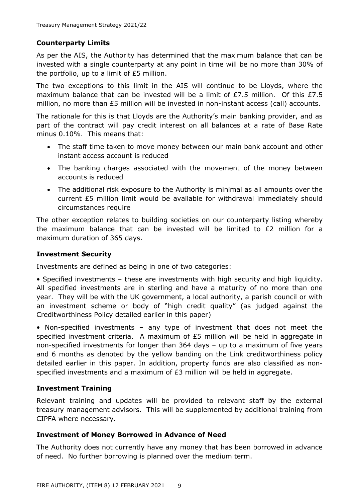## **Counterparty Limits**

As per the AIS, the Authority has determined that the maximum balance that can be invested with a single counterparty at any point in time will be no more than 30% of the portfolio, up to a limit of £5 million.

The two exceptions to this limit in the AIS will continue to be Lloyds, where the maximum balance that can be invested will be a limit of £7.5 million. Of this £7.5 million, no more than £5 million will be invested in non-instant access (call) accounts.

The rationale for this is that Lloyds are the Authority's main banking provider, and as part of the contract will pay credit interest on all balances at a rate of Base Rate minus 0.10%. This means that:

- The staff time taken to move money between our main bank account and other instant access account is reduced
- The banking charges associated with the movement of the money between accounts is reduced
- The additional risk exposure to the Authority is minimal as all amounts over the current £5 million limit would be available for withdrawal immediately should circumstances require

The other exception relates to building societies on our counterparty listing whereby the maximum balance that can be invested will be limited to  $E2$  million for a maximum duration of 365 days.

## **Investment Security**

Investments are defined as being in one of two categories:

• Specified investments – these are investments with high security and high liquidity. All specified investments are in sterling and have a maturity of no more than one year. They will be with the UK government, a local authority, a parish council or with an investment scheme or body of "high credit quality" (as judged against the Creditworthiness Policy detailed earlier in this paper)

• Non-specified investments – any type of investment that does not meet the specified investment criteria. A maximum of  $E5$  million will be held in aggregate in non-specified investments for longer than 364 days – up to a maximum of five years and 6 months as denoted by the yellow banding on the Link creditworthiness policy detailed earlier in this paper. In addition, property funds are also classified as nonspecified investments and a maximum of £3 million will be held in aggregate.

## **Investment Training**

Relevant training and updates will be provided to relevant staff by the external treasury management advisors. This will be supplemented by additional training from CIPFA where necessary.

## **Investment of Money Borrowed in Advance of Need**

The Authority does not currently have any money that has been borrowed in advance of need. No further borrowing is planned over the medium term.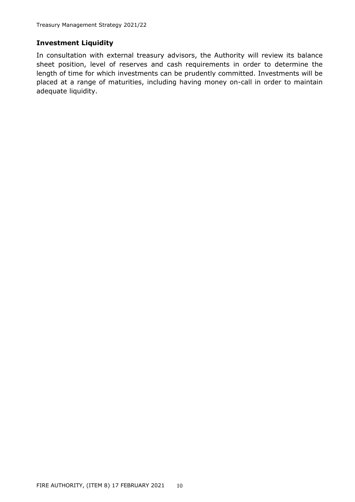## **Investment Liquidity**

In consultation with external treasury advisors, the Authority will review its balance sheet position, level of reserves and cash requirements in order to determine the length of time for which investments can be prudently committed. Investments will be placed at a range of maturities, including having money on-call in order to maintain adequate liquidity.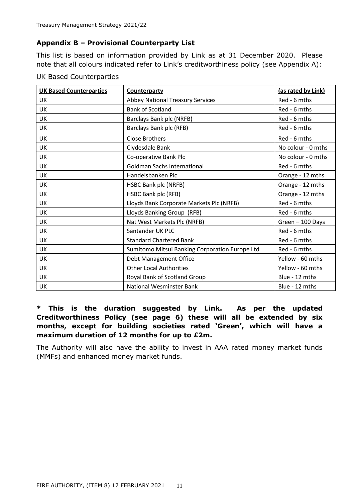## **Appendix B – Provisional Counterparty List**

This list is based on information provided by Link as at 31 December 2020. Please note that all colours indicated refer to Link's creditworthiness policy (see Appendix A):

| <b>UK Based Counterparties</b> | <b>Counterparty</b>                            | (as rated by Link) |
|--------------------------------|------------------------------------------------|--------------------|
| UK                             | <b>Abbey National Treasury Services</b>        | Red - 6 mths       |
| UK                             | <b>Bank of Scotland</b>                        | Red - 6 mths       |
| UK                             | Barclays Bank plc (NRFB)                       | Red - 6 mths       |
| UK                             | Barclays Bank plc (RFB)                        | Red - 6 mths       |
| UK                             | <b>Close Brothers</b>                          | Red - 6 mths       |
| <b>UK</b>                      | Clydesdale Bank                                | No colour - 0 mths |
| UK                             | Co-operative Bank Plc                          | No colour - 0 mths |
| <b>UK</b>                      | <b>Goldman Sachs International</b>             | Red - 6 mths       |
| UK                             | Handelsbanken Plc                              | Orange - 12 mths   |
| UK                             | HSBC Bank plc (NRFB)                           | Orange - 12 mths   |
| UK                             | <b>HSBC Bank plc (RFB)</b>                     | Orange - 12 mths   |
| UK                             | Lloyds Bank Corporate Markets Plc (NRFB)       | Red - 6 mths       |
| UK                             | Lloyds Banking Group (RFB)                     | Red - 6 mths       |
| UK                             | Nat West Markets Plc (NRFB)                    | Green - 100 Days   |
| UK                             | Santander UK PLC                               | Red - 6 mths       |
| UK                             | <b>Standard Chartered Bank</b>                 | Red - 6 mths       |
| <b>UK</b>                      | Sumitomo Mitsui Banking Corporation Europe Ltd | Red - 6 mths       |
| UK                             | Debt Management Office                         | Yellow - 60 mths   |
| <b>UK</b>                      | <b>Other Local Authorities</b>                 | Yellow - 60 mths   |
| UK                             | Royal Bank of Scotland Group                   | Blue - 12 mths     |
| UK                             | <b>National Wesminster Bank</b>                | Blue - 12 mths     |

#### UK Based Counterparties

# **\* This is the duration suggested by Link. As per the updated Creditworthiness Policy (see page 6) these will all be extended by six months, except for building societies rated 'Green', which will have a maximum duration of 12 months for up to £2m.**

The Authority will also have the ability to invest in AAA rated money market funds (MMFs) and enhanced money market funds.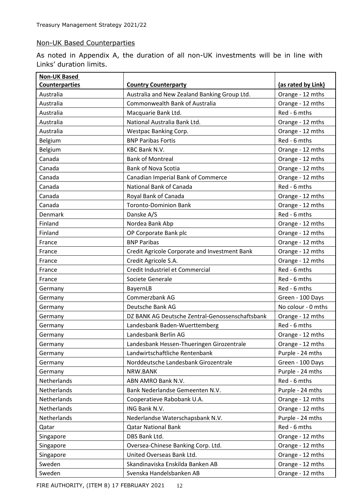#### Non-UK Based Counterparties

As noted in Appendix A, the duration of all non-UK investments will be in line with Links' duration limits.

| <b>Non-UK Based</b>   |                                                 |                    |
|-----------------------|-------------------------------------------------|--------------------|
| <b>Counterparties</b> | <b>Country Counterparty</b>                     | (as rated by Link) |
| Australia             | Australia and New Zealand Banking Group Ltd.    | Orange - 12 mths   |
| Australia             | Commonwealth Bank of Australia                  | Orange - 12 mths   |
| Australia             | Macquarie Bank Ltd.                             | Red - 6 mths       |
| Australia             | National Australia Bank Ltd.                    | Orange - 12 mths   |
| Australia             | Westpac Banking Corp.                           | Orange - 12 mths   |
| Belgium               | <b>BNP Paribas Fortis</b>                       | Red - 6 mths       |
| Belgium               | <b>KBC Bank N.V.</b>                            | Orange - 12 mths   |
| Canada                | <b>Bank of Montreal</b>                         | Orange - 12 mths   |
| Canada                | <b>Bank of Nova Scotia</b>                      | Orange - 12 mths   |
| Canada                | Canadian Imperial Bank of Commerce              | Orange - 12 mths   |
| Canada                | National Bank of Canada                         | Red - 6 mths       |
| Canada                | Royal Bank of Canada                            | Orange - 12 mths   |
| Canada                | <b>Toronto-Dominion Bank</b>                    | Orange - 12 mths   |
| <b>Denmark</b>        | Danske A/S                                      | Red - 6 mths       |
| Finland               | Nordea Bank Abp                                 | Orange - 12 mths   |
| Finland               | OP Corporate Bank plc                           | Orange - 12 mths   |
| France                | <b>BNP Paribas</b>                              | Orange - 12 mths   |
| France                | Credit Agricole Corporate and Investment Bank   | Orange - 12 mths   |
| France                | Credit Agricole S.A.                            | Orange - 12 mths   |
| France                | Credit Industriel et Commercial                 | Red - 6 mths       |
| France                | Societe Generale                                | Red - 6 mths       |
| Germany               | BayernLB                                        | Red - 6 mths       |
| Germany               | Commerzbank AG                                  | Green - 100 Days   |
| Germany               | Deutsche Bank AG                                | No colour - 0 mths |
| Germany               | DZ BANK AG Deutsche Zentral-Genossenschaftsbank | Orange - 12 mths   |
| Germany               | Landesbank Baden-Wuerttemberg                   | Red - 6 mths       |
| Germany               | Landesbank Berlin AG                            | Orange - 12 mths   |
| Germany               | Landesbank Hessen-Thueringen Girozentrale       | Orange - 12 mths   |
| Germany               | Landwirtschaftliche Rentenbank                  | Purple - 24 mths   |
| Germany               | Norddeutsche Landesbank Girozentrale            | Green - 100 Days   |
| Germany               | NRW.BANK                                        | Purple - 24 mths   |
| Netherlands           | ABN AMRO Bank N.V.                              | Red - 6 mths       |
| Netherlands           | Bank Nederlandse Gemeenten N.V.                 | Purple - 24 mths   |
| Netherlands           | Cooperatieve Rabobank U.A.                      | Orange - 12 mths   |
| Netherlands           | ING Bank N.V.                                   | Orange - 12 mths   |
| Netherlands           | Nederlandse Waterschapsbank N.V.                | Purple - 24 mths   |
| Qatar                 | <b>Qatar National Bank</b>                      | Red - 6 mths       |
| Singapore             | DBS Bank Ltd.                                   | Orange - 12 mths   |
| Singapore             | Oversea-Chinese Banking Corp. Ltd.              | Orange - 12 mths   |
| Singapore             | United Overseas Bank Ltd.                       | Orange - 12 mths   |
| Sweden                | Skandinaviska Enskilda Banken AB                | Orange - 12 mths   |
| Sweden                | Svenska Handelsbanken AB                        | Orange - 12 mths   |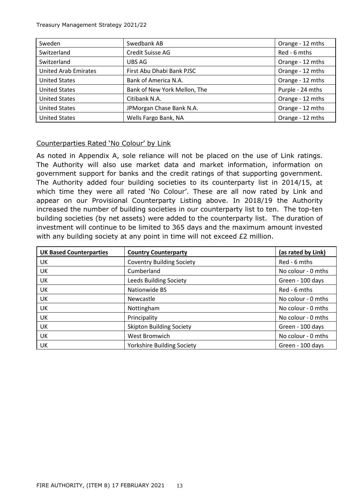| Sweden                      | Swedbank AB                  | Orange - 12 mths |
|-----------------------------|------------------------------|------------------|
| Switzerland                 | Credit Suisse AG             | Red - 6 mths     |
| Switzerland                 | UBS AG                       | Orange - 12 mths |
| <b>United Arab Emirates</b> | First Abu Dhabi Bank PJSC    | Orange - 12 mths |
| <b>United States</b>        | Bank of America N.A.         | Orange - 12 mths |
| <b>United States</b>        | Bank of New York Mellon, The | Purple - 24 mths |
| <b>United States</b>        | Citibank N.A.                | Orange - 12 mths |
| <b>United States</b>        | JPMorgan Chase Bank N.A.     | Orange - 12 mths |
| <b>United States</b>        | Wells Fargo Bank, NA         | Orange - 12 mths |

## Counterparties Rated 'No Colour' by Link

As noted in Appendix A, sole reliance will not be placed on the use of Link ratings. The Authority will also use market data and market information, information on government support for banks and the credit ratings of that supporting government. The Authority added four building societies to its counterparty list in 2014/15, at which time they were all rated 'No Colour'. These are all now rated by Link and appear on our Provisional Counterparty Listing above. In 2018/19 the Authority increased the number of building societies in our counterparty list to ten. The top-ten building societies (by net assets) were added to the counterparty list. The duration of investment will continue to be limited to 365 days and the maximum amount invested with any building society at any point in time will not exceed £2 million.

| <b>UK Based Counterparties</b> | <b>Country Counterparty</b>       | (as rated by Link) |
|--------------------------------|-----------------------------------|--------------------|
| UK                             | <b>Coventry Building Society</b>  | Red - 6 mths       |
| UK                             | Cumberland                        | No colour - 0 mths |
| UK                             | Leeds Building Society            | Green - 100 days   |
| UK                             | Nationwide BS                     | Red - 6 mths       |
| UK                             | Newcastle                         | No colour - 0 mths |
| UK                             | Nottingham                        | No colour - 0 mths |
| UK                             | Principality                      | No colour - 0 mths |
| UK                             | <b>Skipton Building Society</b>   | Green - 100 days   |
| <b>UK</b>                      | West Bromwich                     | No colour - 0 mths |
| UK                             | <b>Yorkshire Building Society</b> | Green - 100 days   |